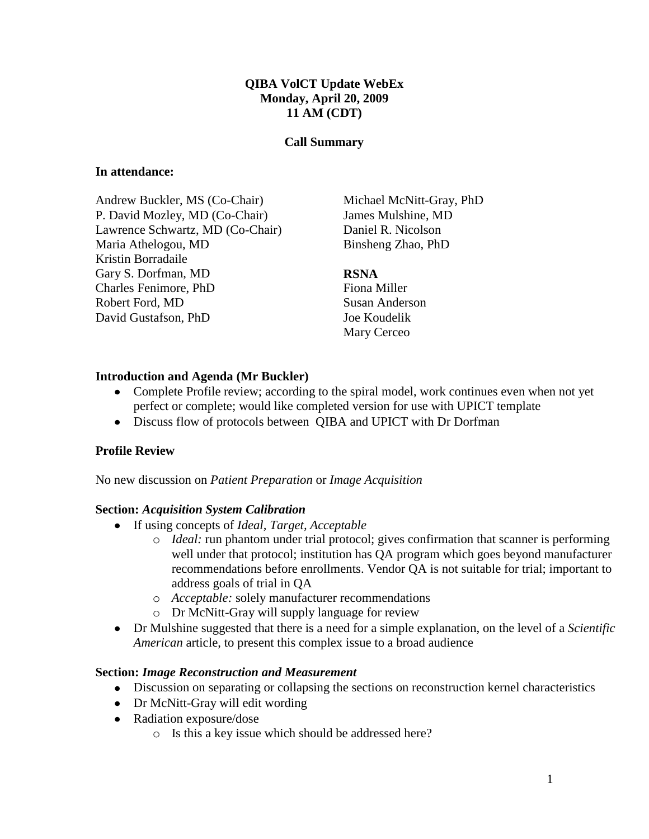### **QIBA VolCT Update WebEx Monday, April 20, 2009 11 AM (CDT)**

#### **Call Summary**

#### **In attendance:**

Andrew Buckler, MS (Co-Chair) P. David Mozley, MD (Co-Chair) Lawrence Schwartz, MD (Co-Chair) Maria Athelogou, MD Kristin Borradaile Gary S. Dorfman, MD Charles Fenimore, PhD Robert Ford, MD David Gustafson, PhD

Michael McNitt-Gray, PhD James Mulshine, MD Daniel R. Nicolson Binsheng Zhao, PhD

#### **RSNA**

Fiona Miller Susan Anderson Joe Koudelik Mary Cerceo

#### **Introduction and Agenda (Mr Buckler)**

- Complete Profile review; according to the spiral model, work continues even when not yet perfect or complete; would like completed version for use with UPICT template
- Discuss flow of protocols between QIBA and UPICT with Dr Dorfman

#### **Profile Review**

No new discussion on *Patient Preparation* or *Image Acquisition*

#### **Section:** *Acquisition System Calibration*

- If using concepts of *Ideal, Target, Acceptable*
	- o *Ideal:* run phantom under trial protocol; gives confirmation that scanner is performing well under that protocol; institution has QA program which goes beyond manufacturer recommendations before enrollments. Vendor QA is not suitable for trial; important to address goals of trial in QA
	- o *Acceptable:* solely manufacturer recommendations
	- o Dr McNitt-Gray will supply language for review
- Dr Mulshine suggested that there is a need for a simple explanation, on the level of a *Scientific American* article, to present this complex issue to a broad audience

#### **Section:** *Image Reconstruction and Measurement*

- Discussion on separating or collapsing the sections on reconstruction kernel characteristics
- Dr McNitt-Gray will edit wording
- Radiation exposure/dose
	- o Is this a key issue which should be addressed here?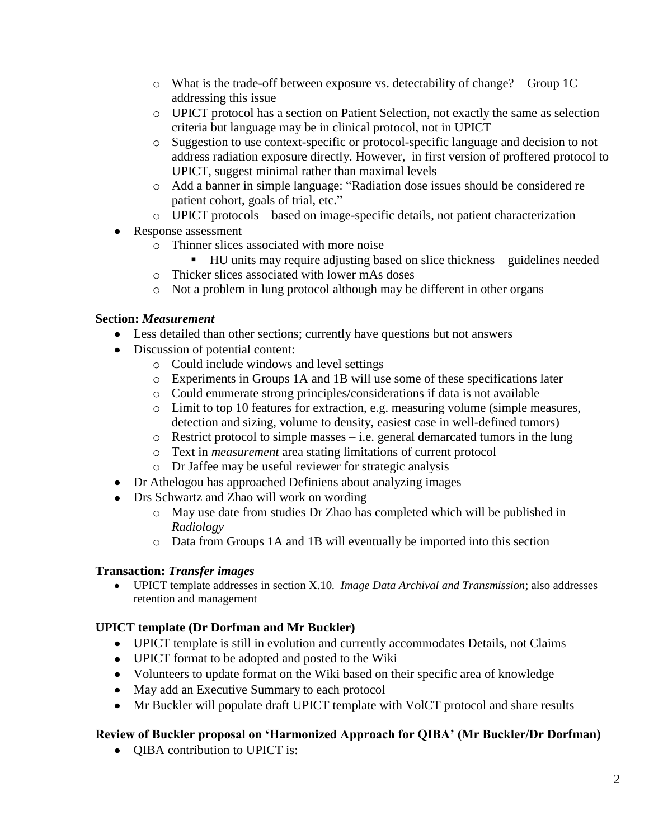- $\circ$  What is the trade-off between exposure vs. detectability of change? Group 1C addressing this issue
- o UPICT protocol has a section on Patient Selection, not exactly the same as selection criteria but language may be in clinical protocol, not in UPICT
- o Suggestion to use context-specific or protocol-specific language and decision to not address radiation exposure directly. However, in first version of proffered protocol to UPICT, suggest minimal rather than maximal levels
- o Add a banner in simple language: "Radiation dose issues should be considered re patient cohort, goals of trial, etc."
- o UPICT protocols based on image-specific details, not patient characterization
- Response assessment
	- o Thinner slices associated with more noise
		- HU units may require adjusting based on slice thickness guidelines needed
	- o Thicker slices associated with lower mAs doses
	- o Not a problem in lung protocol although may be different in other organs

## **Section:** *Measurement*

- Less detailed than other sections; currently have questions but not answers
- Discussion of potential content:
	- o Could include windows and level settings
	- o Experiments in Groups 1A and 1B will use some of these specifications later
	- o Could enumerate strong principles/considerations if data is not available
	- o Limit to top 10 features for extraction, e.g. measuring volume (simple measures, detection and sizing, volume to density, easiest case in well-defined tumors)
	- $\circ$  Restrict protocol to simple masses i.e. general demarcated tumors in the lung
	- o Text in *measurement* area stating limitations of current protocol
	- o Dr Jaffee may be useful reviewer for strategic analysis
- Dr Athelogou has approached Definiens about analyzing images
- Drs Schwartz and Zhao will work on wording
	- o May use date from studies Dr Zhao has completed which will be published in *Radiology*
	- o Data from Groups 1A and 1B will eventually be imported into this section

# **Transaction:** *Transfer images*

UPICT template addresses in section X.10*. Image Data Archival and Transmission*; also addresses retention and management

# **UPICT template (Dr Dorfman and Mr Buckler)**

- UPICT template is still in evolution and currently accommodates Details, not Claims
- UPICT format to be adopted and posted to the Wiki
- Volunteers to update format on the Wiki based on their specific area of knowledge
- May add an Executive Summary to each protocol
- Mr Buckler will populate draft UPICT template with VolCT protocol and share results

# **Review of Buckler proposal on 'Harmonized Approach for QIBA' (Mr Buckler/Dr Dorfman)**

• **QIBA** contribution to UPICT is: